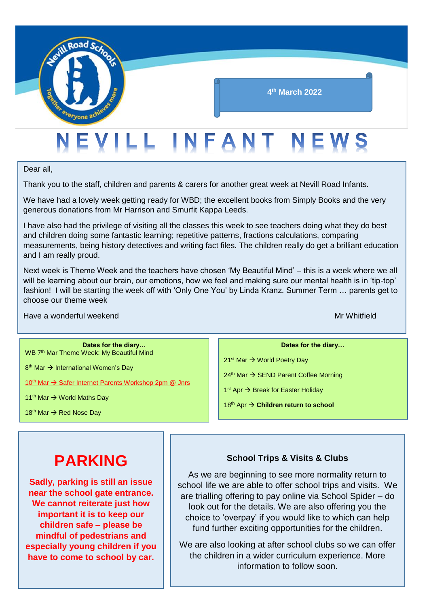

Dear all,

Thank you to the staff, children and parents & carers for another great week at Nevill Road Infants.

We have had a lovely week getting ready for WBD; the excellent books from Simply Books and the very generous donations from Mr Harrison and Smurfit Kappa Leeds.

I have also had the privilege of visiting all the classes this week to see teachers doing what they do best and children doing some fantastic learning; repetitive patterns, fractions calculations, comparing measurements, being history detectives and writing fact files. The children really do get a brilliant education and I am really proud.

Next week is Theme Week and the teachers have chosen 'My Beautiful Mind' – this is a week where we all will be learning about our brain, our emotions, how we feel and making sure our mental health is in 'tip-top' fashion! I will be starting the week off with 'Only One You' by Linda Kranz. Summer Term … parents get to choose our theme week

Have a wonderful weekend Mr Whitfield

**Dates for the diary…** WB 7<sup>th</sup> Mar Theme Week: My Beautiful Mind

8<sup>th</sup> Mar → International Women's Day

10<sup>th</sup> Mar → Safer Internet Parents Workshop 2pm @ Jnrs

11<sup>th</sup> Mar → World Maths Day

18<sup>th</sup> Mar  $\rightarrow$  Red Nose Day

#### **Dates for the diary…**

21<sup>st</sup> Mar → World Poetry Day

 $24<sup>th</sup>$  Mar  $\rightarrow$  SEND Parent Coffee Morning

1<sup>st</sup> Apr → Break for Easter Holiday

18<sup>th</sup> Apr → Children return to school

## **PARKING**

**Sadly, parking is still an issue near the school gate entrance. We cannot reiterate just how important it is to keep our children safe – please be mindful of pedestrians and especially young children if you have to come to school by car.**

#### **School Trips & Visits & Clubs**

As we are beginning to see more normality return to school life we are able to offer school trips and visits. We are trialling offering to pay online via School Spider – do look out for the details. We are also offering you the choice to 'overpay' if you would like to which can help fund further exciting opportunities for the children.

We are also looking at after school clubs so we can offer the children in a wider curriculum experience. More information to follow soon.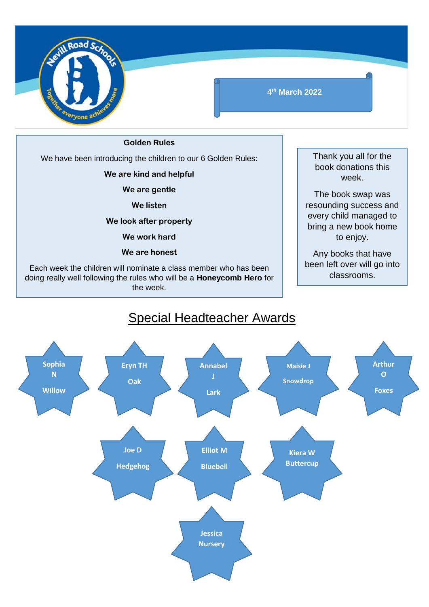

**4 th March 2022**

**Golden Rules**

We have been introducing the children to our 6 Golden Rules:

**We are kind and helpful**

**We are gentle**

**We listen**

**We look after property**

**We work hard**

**We are honest**

Each week the children will nominate a class member who has been doing really well following the rules who will be a **Honeycomb Hero** for the week.

Thank you all for the book donations this week.

The book swap was resounding success and every child managed to bring a new book home to enjoy.

Any books that have been left over will go into classrooms.



### Special Headteacher Awards